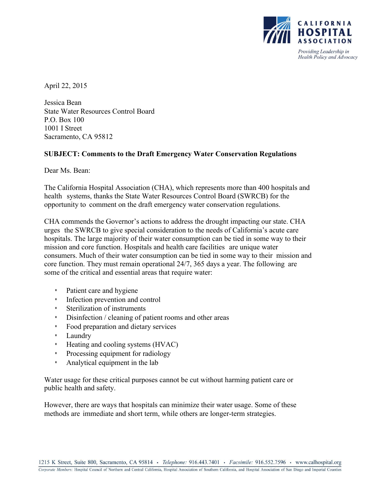

April 22, 2015

Jessica Bean State Water Resources Control Board P.O. Box 100 1001 I Street Sacramento, CA 95812

## **SUBJECT: Comments to the Draft Emergency Water Conservation Regulations**

Dear Ms. Bean:

The California Hospital Association (CHA), which represents more than 400 hospitals and health systems, thanks the State Water Resources Control Board (SWRCB) for the opportunity to comment on the draft emergency water conservation regulations.

CHA commends the Governor's actions to address the drought impacting our state. CHA urges the SWRCB to give special consideration to the needs of California's acute care hospitals. The large majority of their water consumption can be tied in some way to their mission and core function. Hospitals and health care facilities are unique water consumers. Much of their water consumption can be tied in some way to their mission and core function. They must remain operational 24/7, 365 days a year. The following are some of the critical and essential areas that require water:

- Patient care and hygiene
- Infection prevention and control
- Sterilization of instruments
- Disinfection / cleaning of patient rooms and other areas
- Food preparation and dietary services
- Laundry
- Heating and cooling systems (HVAC)
- Processing equipment for radiology
- Analytical equipment in the lab

Water usage for these critical purposes cannot be cut without harming patient care or public health and safety.

However, there are ways that hospitals can minimize their water usage. Some of these methods are immediate and short term, while others are longer-term strategies.